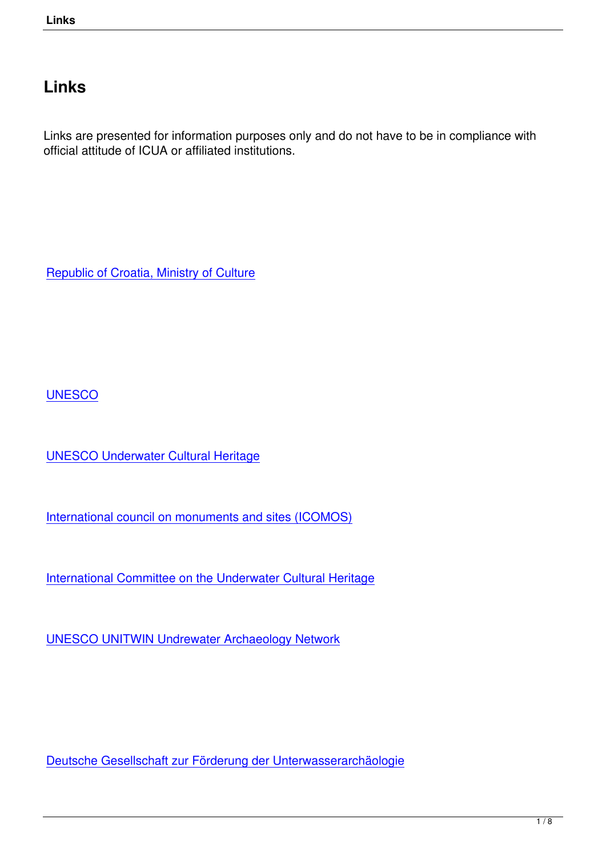## **Links**

Links are presented for information purposes only and do not have to be in compliance with official attitude of ICUA or affiliated institutions.

Republic of Croatia, Ministry of Culture

**UNESCO** 

[UNESCO](https://en.unesco.org/) Underwater Cultural Heritage

[International council on monuments and](http://www.unesco.org/new/en/culture/themes/underwater-cultural-heritage/) sites (ICOMOS)

[International Committee on the Underwater Cultural Herit](http://www.international.icomos.org/en/)age

[UNESCO UNITWIN Undrewater Archaeology Network](http://icuch.icomos.org/the-icomos-international-committee-on-the-underwater-cultural-heritage/)

Deutsche Gesellschaft zur Förderung der Unterwasserarchäologie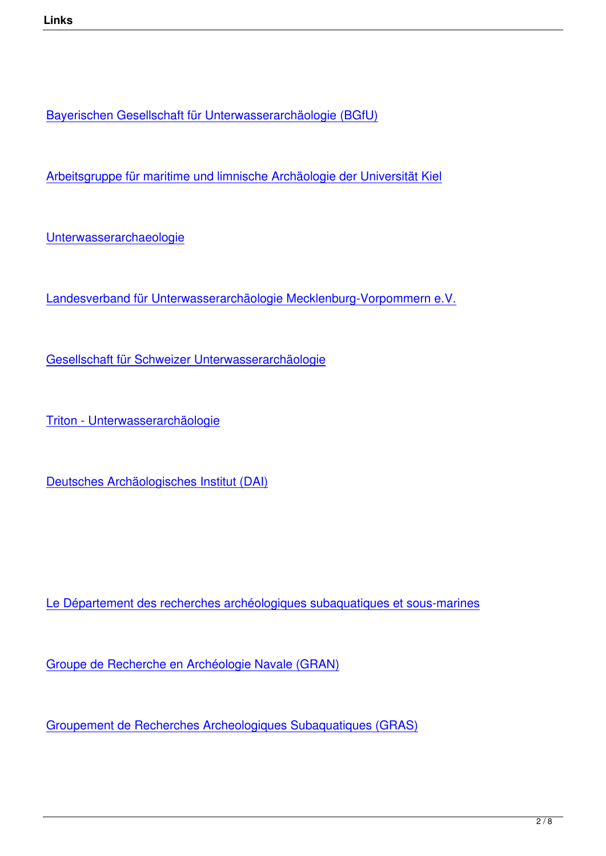Bayerischen Gesellschaft für Unterwasserarchäologie (BGfU)

[Arbeitsgruppe für maritime und limnische Archäologie der Uni](http://www.bgfu.de/)versität Kiel

[Unterwasserarchaeologie](http://www.amla-kiel.de/cms2/)

[Landesverband für Unterw](http://www.unterwasserarchaeologie.de/)asserarchäologie Mecklenburg-Vorpommern e.V.

[Gesellschaft für Schweizer Unterwasserarchäologie](http://www.uwa-mv.de/)

[Triton - Unterwasserarchäologie](https://www.gsu.ch/index.php/home.html)

[Deutsches Archäologisches Inst](https://homepage.univie.ac.at/elisabeth.trinkl/forum/forum0600/15triton.htm)itut (DAI)

Le Département des recherches archéologiques subaquatiques et sous-marines

[Groupe de Recherche en Archéologie Navale \(GRAN\)](http://www.culture.gouv.fr/culture/archeosm/en/fr-act-org1.htm)

[Groupement de Recherches Archeologiques Subaqua](http://www.archeonavale.org/)tiques (GRAS)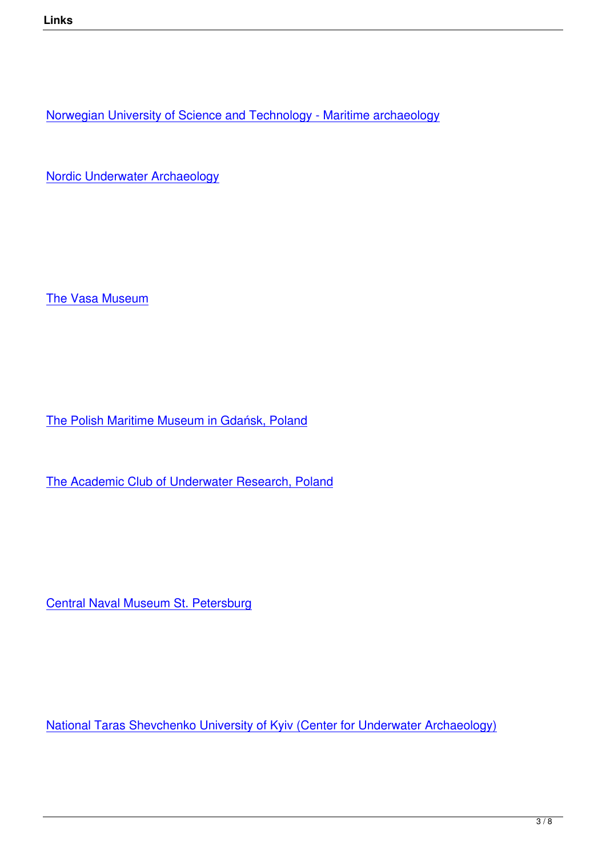Norwegian University of Science and Technology - Maritime archaeology

[Nordic Underwater Archaeology](https://www.ntnu.edu/iak)

The Vasa Museum

The Polish Maritime Museum in Gdańsk, Poland

[The Academic Club of Underwater Research, Po](http://www.cmm.pl/index.php)land

Central Naval Museum St. Petersburg

National Taras Shevchenko University of Kyiv (Center for Underwater Archaeology)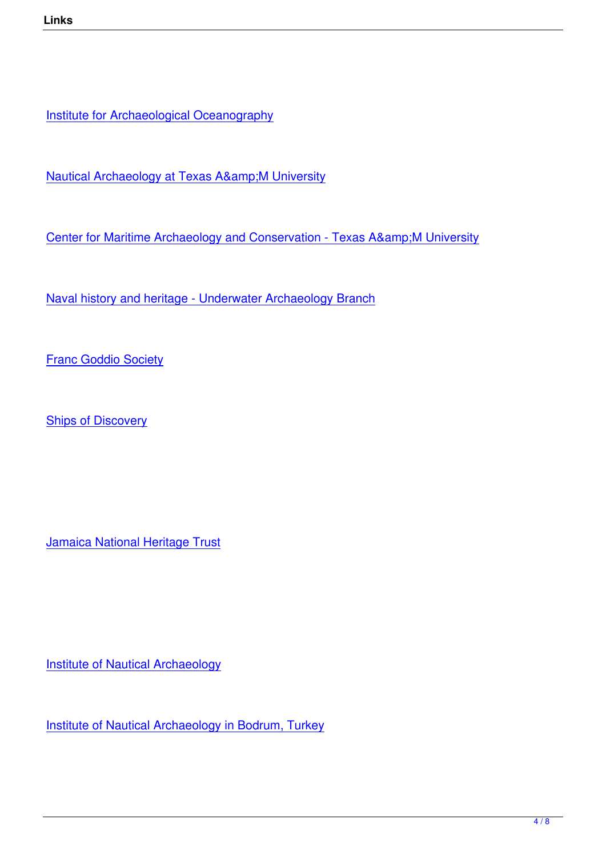**Institute for Archaeological Oceanography** 

Nautical Archaeology at Texas A& M University

[Center for Maritime Archaeology and Conservation -](http://nautarch.tamu.edu/) Texas A& M University

[Naval history and heritage - Underwater Archaeology Branch](http://nautarch.tamu.edu/cmac/)

**[Franc Goddio Society](https://www.history.navy.mil/content/history/nhhc/research/underwater-archaeology.html)** 

**[Ships of Discovery](http://www.underwaterdiscovery.org/)** 

Jamaica National Heritage Trust

**Institute of Nautical Archaeology** 

[Institute of Nautical Archaeology](http://nauticalarch.org/) in Bodrum, Turkey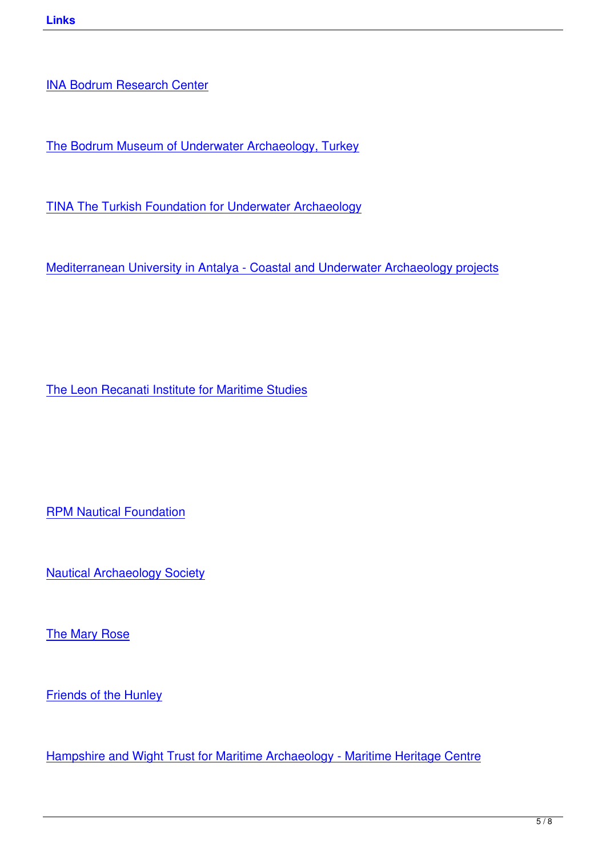[The Bodrum Museum of Unde](https://nauticalarch.org/bodrum-research-center/)rwater Archaeology, Turkey

[TINA The Turkish Foundation for Underwater Archaeology](http://www.bodrum-museum.com/)

[Mediterranean University in Antalya - Coastal and Underwa](http://www.tinaturk.org/e_index.html)ter Archaeology projects

The Leon Recanati Institute for Maritime Studies

RPM Nautical Foundation

[Nautical Archaeology Soc](http://rpmnautical.org/)iety

[The Mary Rose](http://www.nauticalarchaeologysociety.org/)

[Friends of the H](http://www.maryrose.org/)unley

[Hampshire and Wight](http://www.hunley.org/) Trust for Maritime Archaeology - Maritime Heritage Centre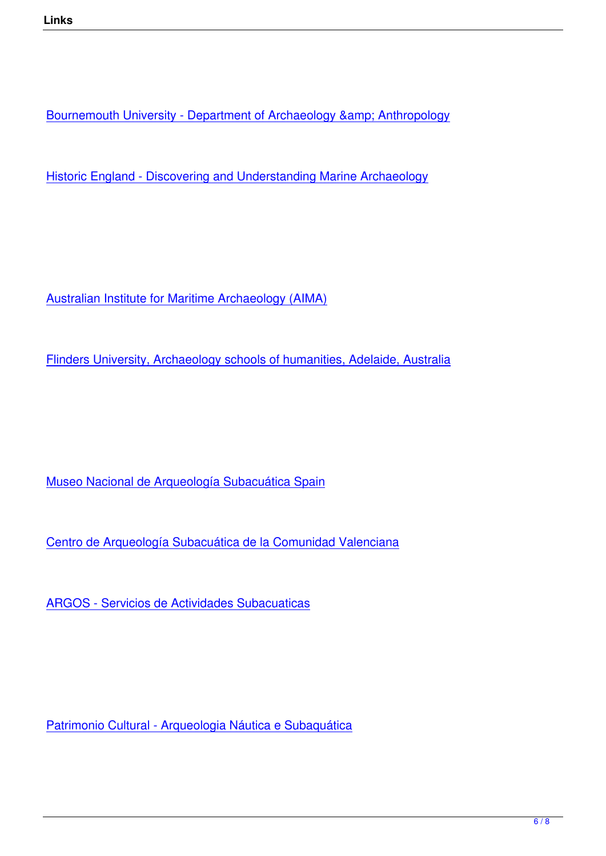Bournemouth University - Department of Archaeology & amp; Anthropology

[Historic England - Discovering and Understanding Marine Archaeology](https://www.bournemouth.ac.uk/about/our-faculties/faculty-science-technology/our-departments/department-archaeology-anthropology)

Australian Institute for Maritime Archaeology (AIMA)

[Flinders University, Archaeology schools of humaniti](http://www.aima-underwater.org.au/)es, Adelaide, Australia

Museo Nacional de Arqueología Subacuática Spain

[Centro de Arqueología Subacuática de la Comunida](http://www.culturaydeporte.gob.es/mnarqua/en/home.html)d Valenciana

[ARGOS - Servicios de Actividades Subacuaticas](http://www.ceice.gva.es/es/web/patrimonio-cultural-y-museos/centro-de-arqueologia-subacuatica)

Patrimonio Cultural - Arqueologia Náutica e Subaquática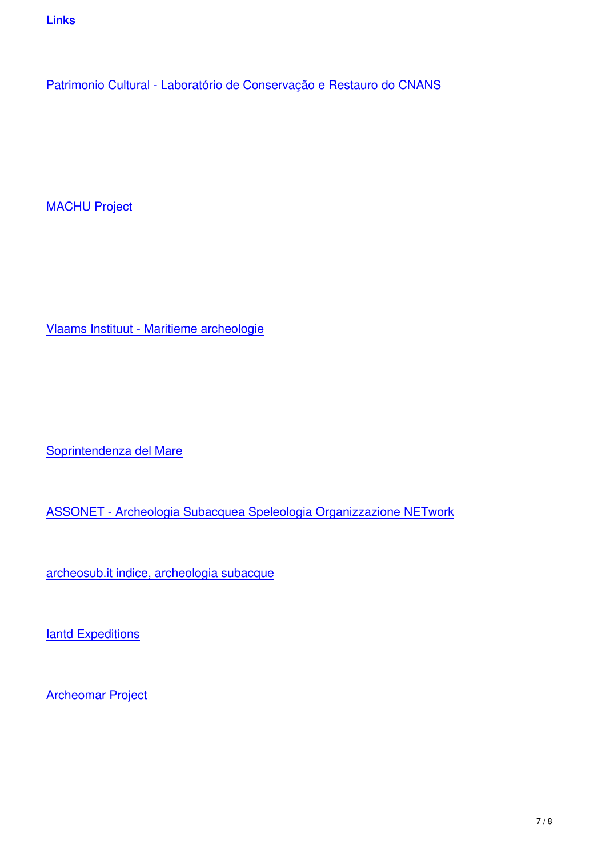MACHU Project

Vlaams Instituut - Maritieme archeologie

Soprintendenza del Mare

[ASSONET - Archeologia](http://www.regione.sicilia.it/beniculturali/archeologiasottomarina/) Subacquea Speleologia Organizzazione NETwork

[archeosub.it indice, archeologia subacque](https://asso-net.blogspot.com/)

**[Iantd Expeditions](http://www.archeosub.it/index.htm)** 

[Archeomar Projec](http://www.iantdexpeditions.com/)t